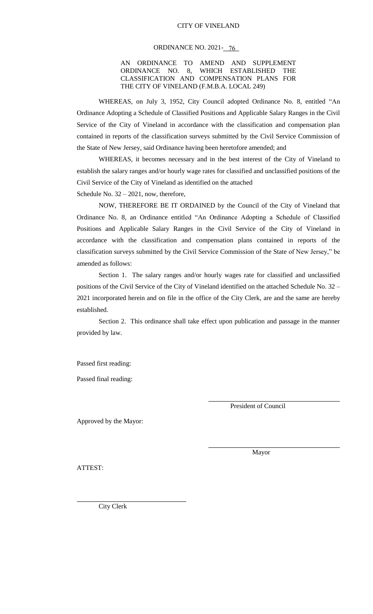#### ORDINANCE NO. 2021-<del>16</del>

#### AN ORDINANCE TO AMEND AND SUPPLEMENT ORDINANCE NO. 8, WHICH ESTABLISHED THE CLASSIFICATION AND COMPENSATION PLANS FOR THE CITY OF VINELAND (F.M.B.A. LOCAL 249)

WHEREAS, on July 3, 1952, City Council adopted Ordinance No. 8, entitled "An Ordinance Adopting a Schedule of Classified Positions and Applicable Salary Ranges in the Civil Service of the City of Vineland in accordance with the classification and compensation plan contained in reports of the classification surveys submitted by the Civil Service Commission of the State of New Jersey, said Ordinance having been heretofore amended; and

WHEREAS, it becomes necessary and in the best interest of the City of Vineland to establish the salary ranges and/or hourly wage rates for classified and unclassified positions of the Civil Service of the City of Vineland as identified on the attached Schedule No. 32 – 2021, now, therefore,

NOW, THEREFORE BE IT ORDAINED by the Council of the City of Vineland that Ordinance No. 8, an Ordinance entitled "An Ordinance Adopting a Schedule of Classified Positions and Applicable Salary Ranges in the Civil Service of the City of Vineland in accordance with the classification and compensation plans contained in reports of the classification surveys submitted by the Civil Service Commission of the State of New Jersey," be amended as follows:

Section 1. The salary ranges and/or hourly wages rate for classified and unclassified positions of the Civil Service of the City of Vineland identified on the attached Schedule No. 32 – 2021 incorporated herein and on file in the office of the City Clerk, are and the same are hereby established.

Section 2. This ordinance shall take effect upon publication and passage in the manner provided by law.

Passed first reading:

Passed final reading:

President of Council

Approved by the Mayor:

Mayor

ATTEST:

City Clerk